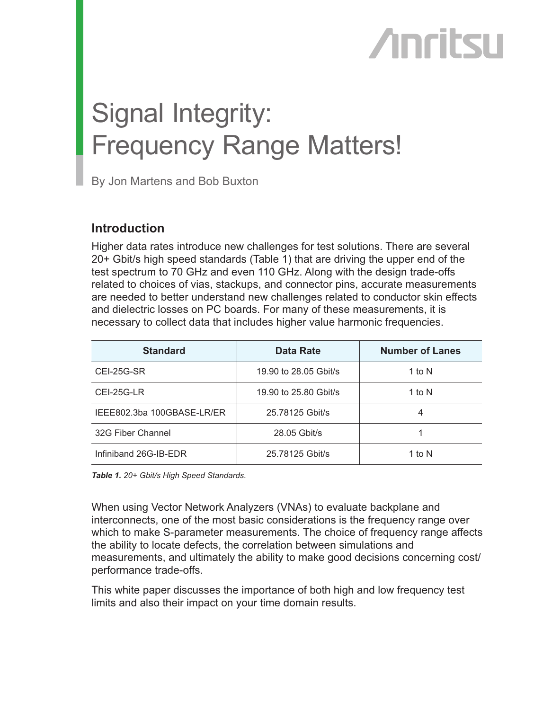# **Anritsu**

## Signal Integrity: Frequency Range Matters!

By Jon Martens and Bob Buxton

## **Introduction**

Higher data rates introduce new challenges for test solutions. There are several 20+ Gbit/s high speed standards (Table 1) that are driving the upper end of the test spectrum to 70 GHz and even 110 GHz. Along with the design trade-offs related to choices of vias, stackups, and connector pins, accurate measurements are needed to better understand new challenges related to conductor skin effects and dielectric losses on PC boards. For many of these measurements, it is necessary to collect data that includes higher value harmonic frequencies.

| <b>Standard</b>            | <b>Data Rate</b>      | <b>Number of Lanes</b> |
|----------------------------|-----------------------|------------------------|
| CEI-25G-SR                 | 19.90 to 28.05 Gbit/s | 1 to N                 |
| CEI-25G-LR                 | 19.90 to 25.80 Gbit/s | 1 to $N$               |
| IEEE802.3ba 100GBASE-LR/ER | 25.78125 Gbit/s       | 4                      |
| 32G Fiber Channel          | 28.05 Gbit/s          |                        |
| Infiniband 26G-IB-EDR      | 25.78125 Gbit/s       | 1 to N                 |

*Table 1. 20+ Gbit/s High Speed Standards.*

When using Vector Network Analyzers (VNAs) to evaluate backplane and interconnects, one of the most basic considerations is the frequency range over which to make S-parameter measurements. The choice of frequency range affects the ability to locate defects, the correlation between simulations and measurements, and ultimately the ability to make good decisions concerning cost/ performance trade-offs.

This white paper discusses the importance of both high and low frequency test limits and also their impact on your time domain results.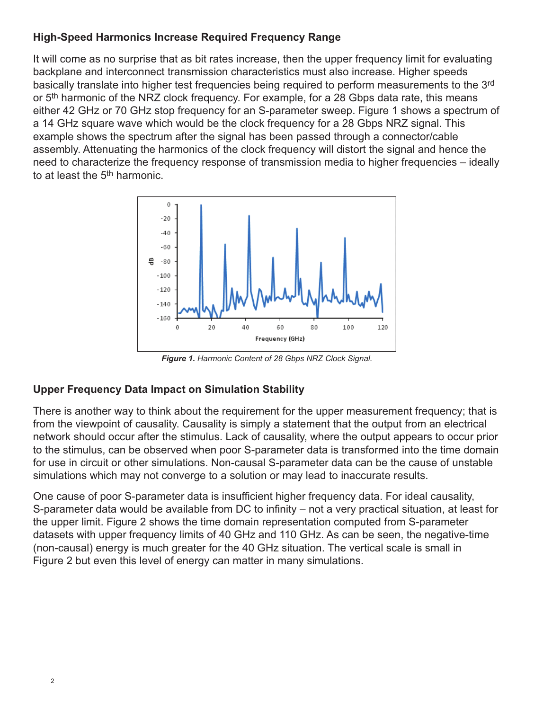## **High-Speed Harmonics Increase Required Frequency Range**

It will come as no surprise that as bit rates increase, then the upper frequency limit for evaluating backplane and interconnect transmission characteristics must also increase. Higher speeds basically translate into higher test frequencies being required to perform measurements to the 3rd or 5<sup>th</sup> harmonic of the NRZ clock frequency. For example, for a 28 Gbps data rate, this means either 42 GHz or 70 GHz stop frequency for an S-parameter sweep. Figure 1 shows a spectrum of a 14 GHz square wave which would be the clock frequency for a 28 Gbps NRZ signal. This example shows the spectrum after the signal has been passed through a connector/cable assembly. Attenuating the harmonics of the clock frequency will distort the signal and hence the need to characterize the frequency response of transmission media to higher frequencies – ideally to at least the 5<sup>th</sup> harmonic.



*Figure 1. Harmonic Content of 28 Gbps NRZ Clock Signal.*

## **Upper Frequency Data Impact on Simulation Stability**

There is another way to think about the requirement for the upper measurement frequency; that is from the viewpoint of causality. Causality is simply a statement that the output from an electrical network should occur after the stimulus. Lack of causality, where the output appears to occur prior to the stimulus, can be observed when poor S-parameter data is transformed into the time domain for use in circuit or other simulations. Non-causal S-parameter data can be the cause of unstable simulations which may not converge to a solution or may lead to inaccurate results.

One cause of poor S-parameter data is insufficient higher frequency data. For ideal causality, S-parameter data would be available from DC to infinity – not a very practical situation, at least for the upper limit. Figure 2 shows the time domain representation computed from S-parameter datasets with upper frequency limits of 40 GHz and 110 GHz. As can be seen, the negative-time (non-causal) energy is much greater for the 40 GHz situation. The vertical scale is small in Figure 2 but even this level of energy can matter in many simulations.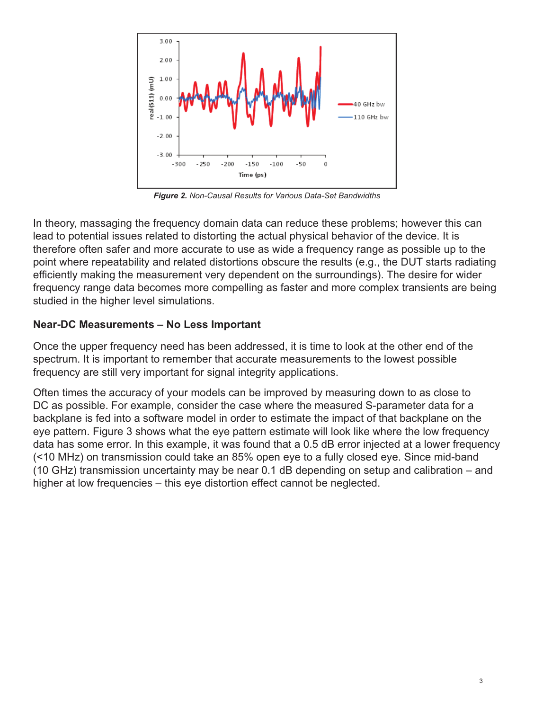

*Figure 2. Non-Causal Results for Various Data-Set Bandwidths*

In theory, massaging the frequency domain data can reduce these problems; however this can lead to potential issues related to distorting the actual physical behavior of the device. It is therefore often safer and more accurate to use as wide a frequency range as possible up to the point where repeatability and related distortions obscure the results (e.g., the DUT starts radiating efficiently making the measurement very dependent on the surroundings). The desire for wider frequency range data becomes more compelling as faster and more complex transients are being studied in the higher level simulations.

## **Near-DC Measurements – No Less Important**

Once the upper frequency need has been addressed, it is time to look at the other end of the spectrum. It is important to remember that accurate measurements to the lowest possible frequency are still very important for signal integrity applications.

Often times the accuracy of your models can be improved by measuring down to as close to DC as possible. For example, consider the case where the measured S-parameter data for a backplane is fed into a software model in order to estimate the impact of that backplane on the eye pattern. Figure 3 shows what the eye pattern estimate will look like where the low frequency data has some error. In this example, it was found that a 0.5 dB error injected at a lower frequency (<10 MHz) on transmission could take an 85% open eye to a fully closed eye. Since mid-band (10 GHz) transmission uncertainty may be near 0.1 dB depending on setup and calibration – and higher at low frequencies – this eye distortion effect cannot be neglected.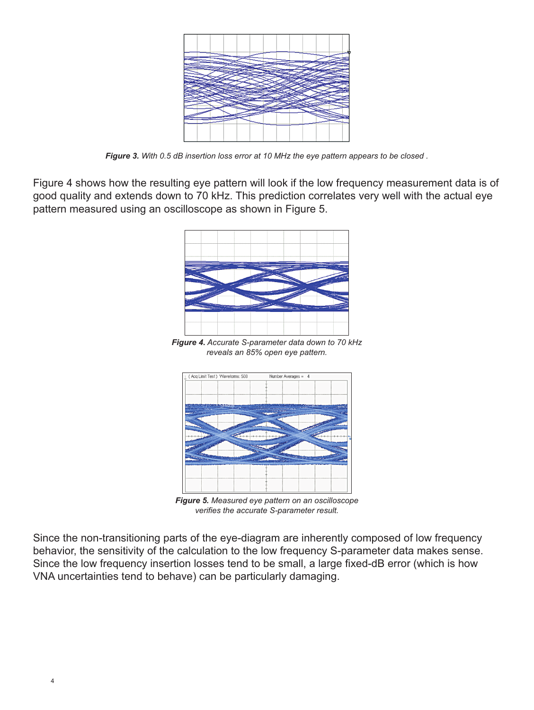

*Figure 3. With 0.5 dB insertion loss error at 10 MHz the eye pattern appears to be closed .*

Figure 4 shows how the resulting eye pattern will look if the low frequency measurement data is of good quality and extends down to 70 kHz. This prediction correlates very well with the actual eye pattern measured using an oscilloscope as shown in Figure 5.



*Figure 4. Accurate S-parameter data down to 70 kHz reveals an 85% open eye pattern.*



*Figure 5. Measured eye pattern on an oscilloscope verifies the accurate S-parameter result.*

Since the non-transitioning parts of the eye-diagram are inherently composed of low frequency behavior, the sensitivity of the calculation to the low frequency S-parameter data makes sense. Since the low frequency insertion losses tend to be small, a large fixed-dB error (which is how VNA uncertainties tend to behave) can be particularly damaging.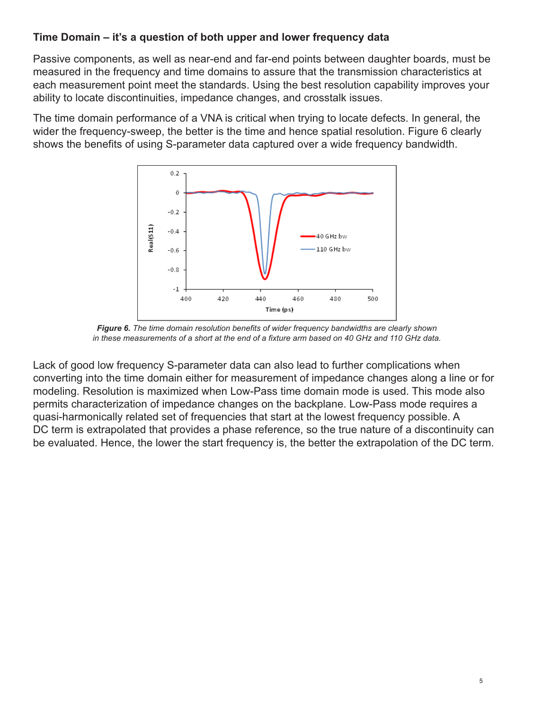## **Time Domain – it's a question of both upper and lower frequency data**

Passive components, as well as near-end and far-end points between daughter boards, must be measured in the frequency and time domains to assure that the transmission characteristics at each measurement point meet the standards. Using the best resolution capability improves your ability to locate discontinuities, impedance changes, and crosstalk issues.

The time domain performance of a VNA is critical when trying to locate defects. In general, the wider the frequency-sweep, the better is the time and hence spatial resolution. Figure 6 clearly shows the benefits of using S-parameter data captured over a wide frequency bandwidth.



*Figure 6. The time domain resolution benefits of wider frequency bandwidths are clearly shown in these measurements of a short at the end of a fixture arm based on 40 GHz and 110 GHz data.*

Lack of good low frequency S-parameter data can also lead to further complications when converting into the time domain either for measurement of impedance changes along a line or for modeling. Resolution is maximized when Low-Pass time domain mode is used. This mode also permits characterization of impedance changes on the backplane. Low-Pass mode requires a quasi-harmonically related set of frequencies that start at the lowest frequency possible. A DC term is extrapolated that provides a phase reference, so the true nature of a discontinuity can be evaluated. Hence, the lower the start frequency is, the better the extrapolation of the DC term.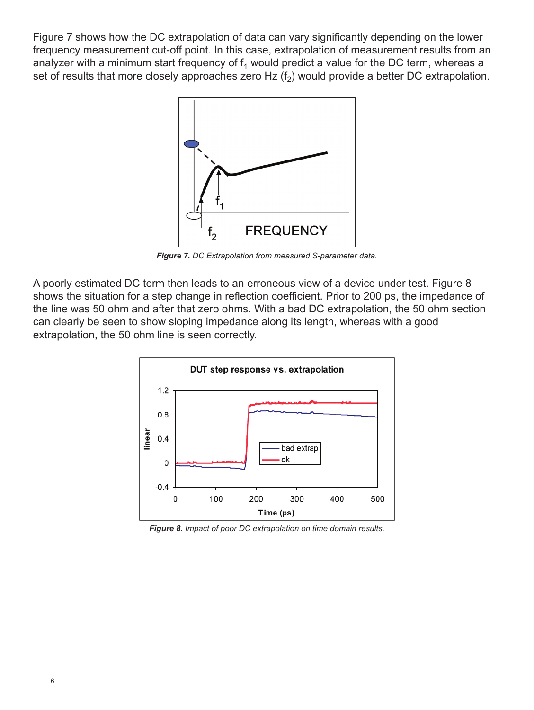Figure 7 shows how the DC extrapolation of data can vary significantly depending on the lower frequency measurement cut-off point. In this case, extrapolation of measurement results from an analyzer with a minimum start frequency of  $f_1$  would predict a value for the DC term, whereas a set of results that more closely approaches zero Hz  $(f<sub>2</sub>)$  would provide a better DC extrapolation.



*Figure 7. DC Extrapolation from measured S-parameter data.*

A poorly estimated DC term then leads to an erroneous view of a device under test. Figure 8 shows the situation for a step change in reflection coefficient. Prior to 200 ps, the impedance of the line was 50 ohm and after that zero ohms. With a bad DC extrapolation, the 50 ohm section can clearly be seen to show sloping impedance along its length, whereas with a good extrapolation, the 50 ohm line is seen correctly.



*Figure 8. Impact of poor DC extrapolation on time domain results.*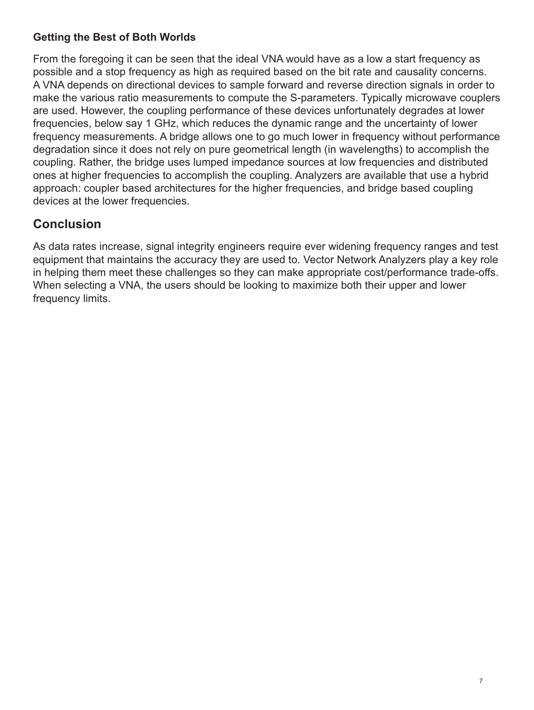## **Getting the Best of Both Worlds**

From the foregoing it can be seen that the ideal VNA would have as a low a start frequency as possible and a stop frequency as high as required based on the bit rate and causality concerns. A VNA depends on directional devices to sample forward and reverse direction signals in order to make the various ratio measurements to compute the S-parameters. Typically microwave couplers are used. However, the coupling performance of these devices unfortunately degrades at lower frequencies, below say 1 GHz, which reduces the dynamic range and the uncertainty of lower frequency measurements. A bridge allows one to go much lower in frequency without performance degradation since it does not rely on pure geometrical length (in wavelengths) to accomplish the coupling. Rather, the bridge uses lumped impedance sources at low frequencies and distributed ones at higher frequencies to accomplish the coupling. Analyzers are available that use a hybrid approach: coupler based architectures for the higher frequencies, and bridge based coupling devices at the lower frequencies.

## **Conclusion**

As data rates increase, signal integrity engineers require ever widening frequency ranges and test equipment that maintains the accuracy they are used to. Vector Network Analyzers play a key role in helping them meet these challenges so they can make appropriate cost/performance trade-offs. When selecting a VNA, the users should be looking to maximize both their upper and lower frequency limits.